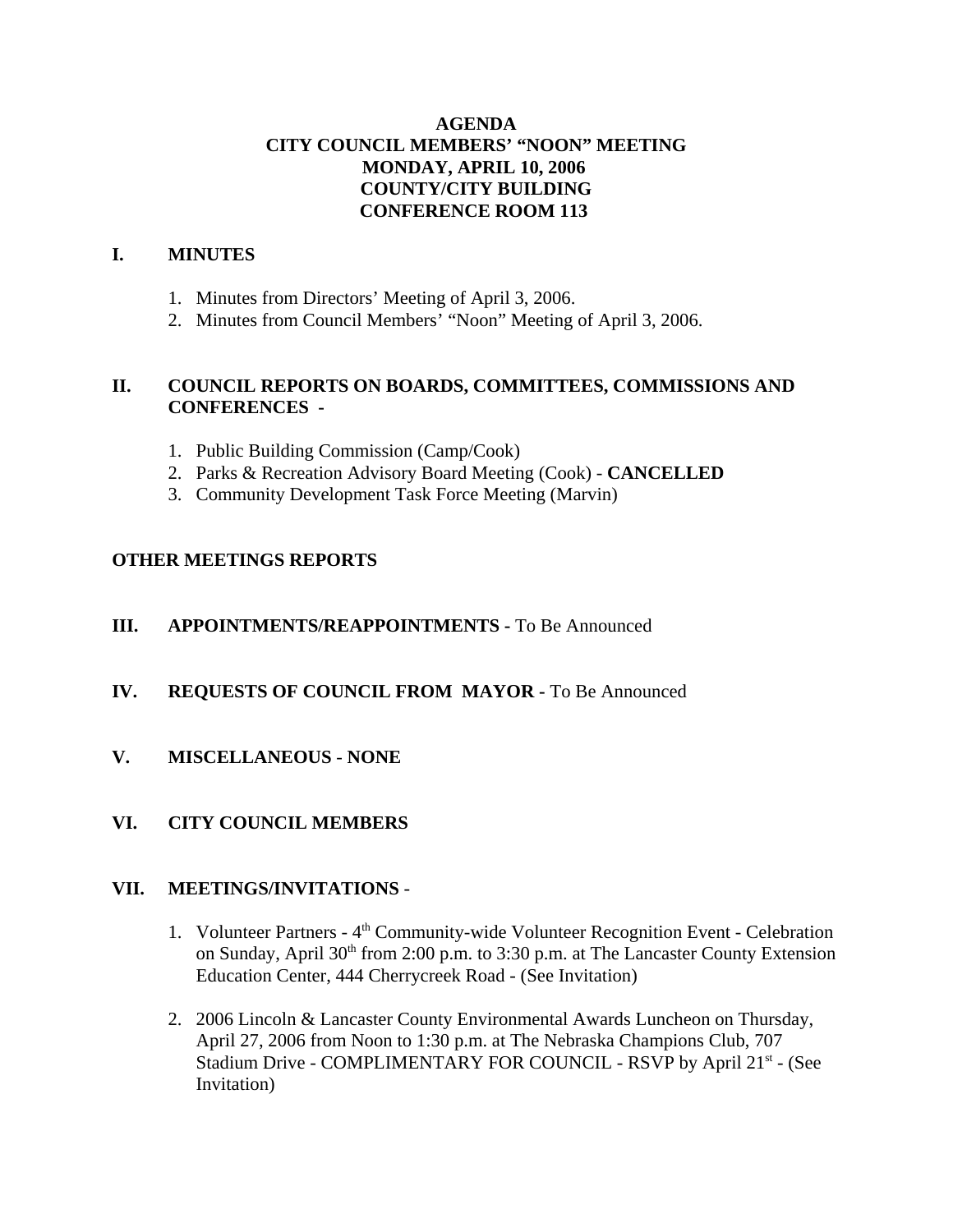# **AGENDA CITY COUNCIL MEMBERS' "NOON" MEETING MONDAY, APRIL 10, 2006 COUNTY/CITY BUILDING CONFERENCE ROOM 113**

## **I. MINUTES**

- 1. Minutes from Directors' Meeting of April 3, 2006.
- 2. Minutes from Council Members' "Noon" Meeting of April 3, 2006.

## **II. COUNCIL REPORTS ON BOARDS, COMMITTEES, COMMISSIONS AND CONFERENCES -**

- 1. Public Building Commission (Camp/Cook)
- 2. Parks & Recreation Advisory Board Meeting (Cook) **CANCELLED**
- 3. Community Development Task Force Meeting (Marvin)

## **OTHER MEETINGS REPORTS**

- **III.** APPOINTMENTS/REAPPOINTMENTS To Be Announced
- **IV. REQUESTS OF COUNCIL FROM MAYOR -** To Be Announced
- **V. MISCELLANEOUS NONE**
- **VI. CITY COUNCIL MEMBERS**

### **VII. MEETINGS/INVITATIONS** -

- 1. Volunteer Partners 4<sup>th</sup> Community-wide Volunteer Recognition Event Celebration on Sunday, April 30<sup>th</sup> from 2:00 p.m. to 3:30 p.m. at The Lancaster County Extension Education Center, 444 Cherrycreek Road - (See Invitation)
- 2. 2006 Lincoln & Lancaster County Environmental Awards Luncheon on Thursday, April 27, 2006 from Noon to 1:30 p.m. at The Nebraska Champions Club, 707 Stadium Drive - COMPLIMENTARY FOR COUNCIL - RSVP by April 21<sup>st</sup> - (See Invitation)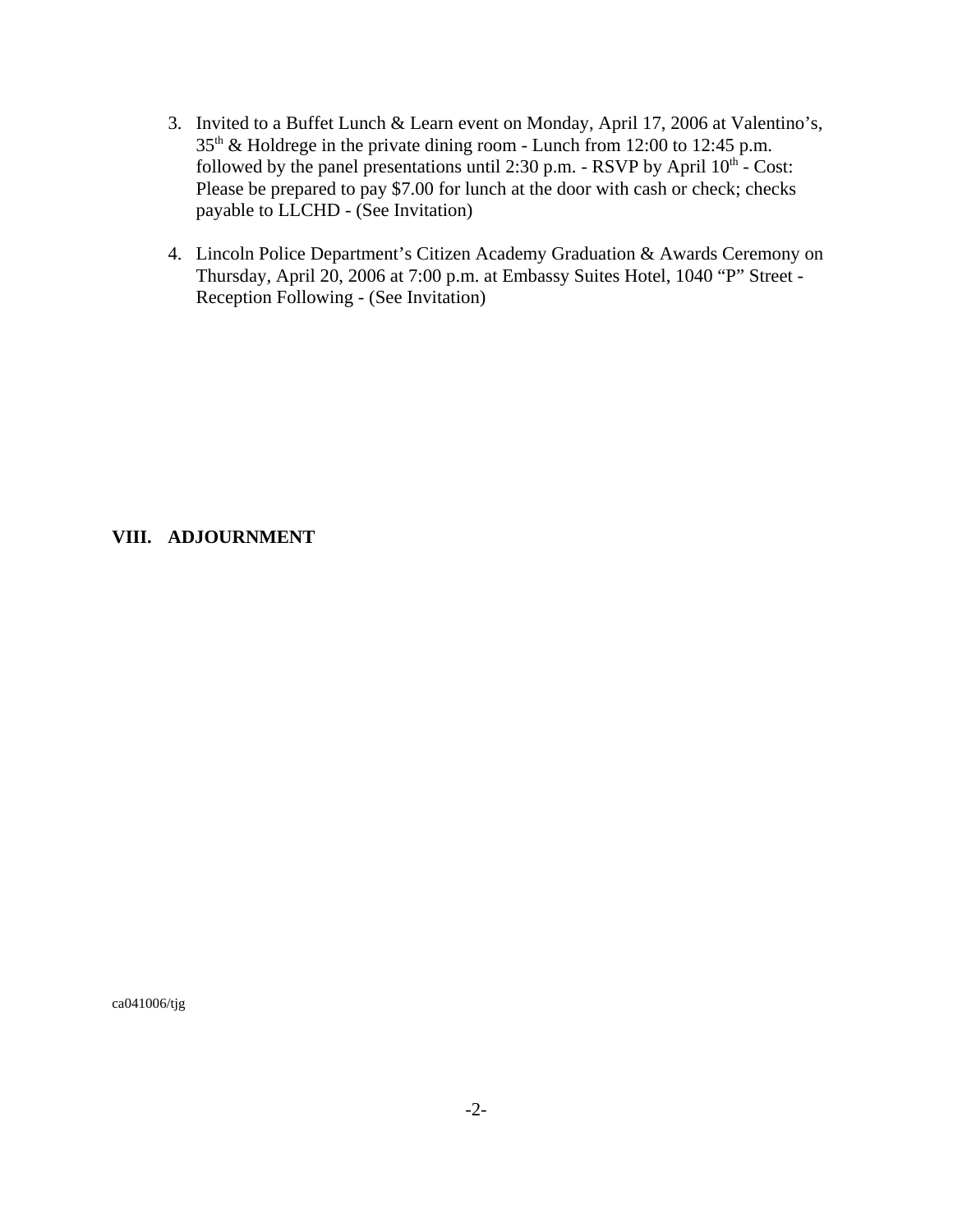- 3. Invited to a Buffet Lunch & Learn event on Monday, April 17, 2006 at Valentino's, 35th & Holdrege in the private dining room - Lunch from 12:00 to 12:45 p.m. followed by the panel presentations until 2:30 p.m. - RSVP by April  $10<sup>th</sup>$  - Cost: Please be prepared to pay \$7.00 for lunch at the door with cash or check; checks payable to LLCHD - (See Invitation)
- 4. Lincoln Police Department's Citizen Academy Graduation & Awards Ceremony on Thursday, April 20, 2006 at 7:00 p.m. at Embassy Suites Hotel, 1040 "P" Street - Reception Following - (See Invitation)

## **VIII. ADJOURNMENT**

ca041006/tjg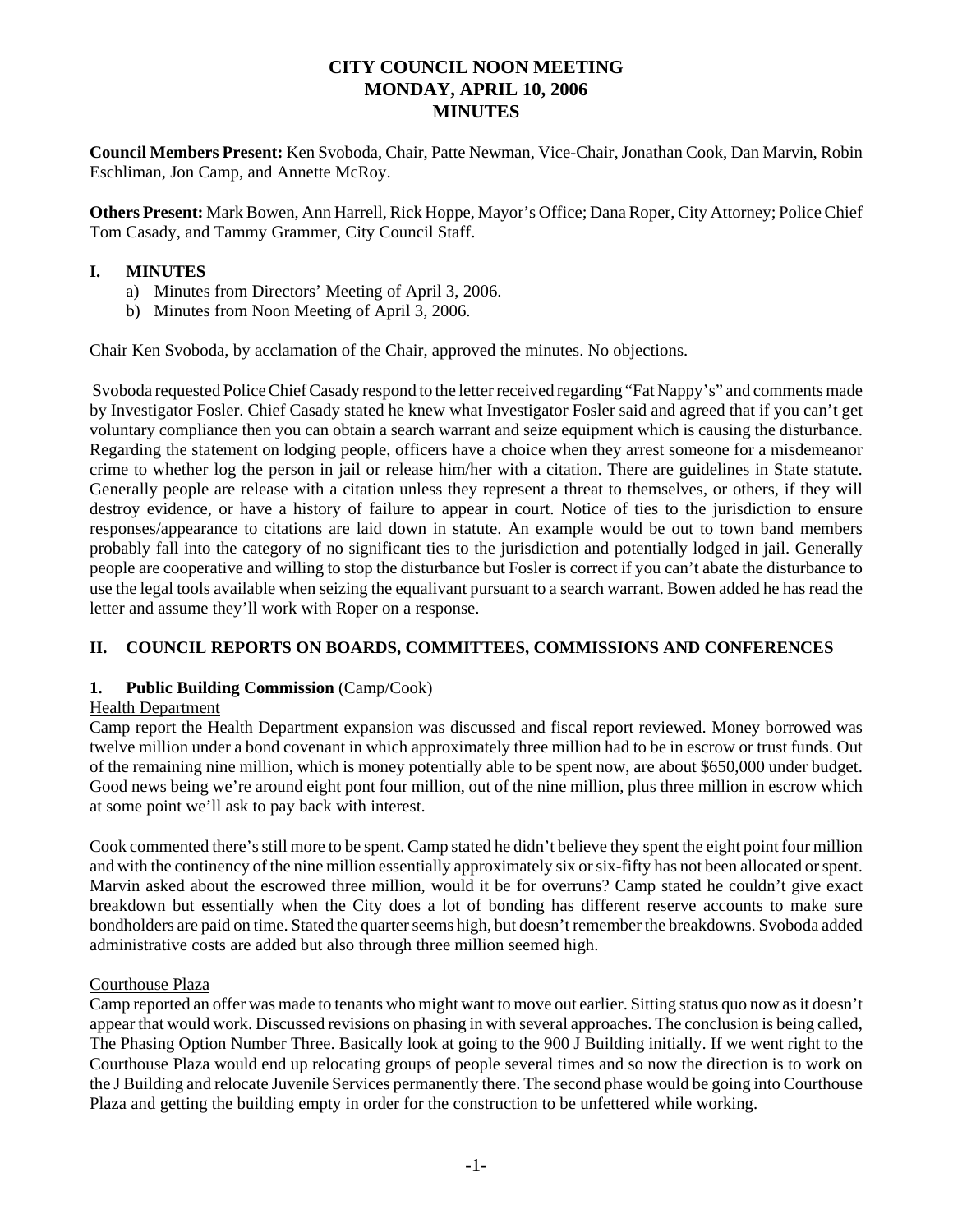# **CITY COUNCIL NOON MEETING MONDAY, APRIL 10, 2006 MINUTES**

**Council Members Present:** Ken Svoboda, Chair, Patte Newman, Vice-Chair, Jonathan Cook, Dan Marvin, Robin Eschliman, Jon Camp, and Annette McRoy.

**Others Present:** Mark Bowen, Ann Harrell, Rick Hoppe, Mayor's Office; Dana Roper, City Attorney; Police Chief Tom Casady, and Tammy Grammer, City Council Staff.

### **I. MINUTES**

- a) Minutes from Directors' Meeting of April 3, 2006.
- b) Minutes from Noon Meeting of April 3, 2006.

Chair Ken Svoboda, by acclamation of the Chair, approved the minutes. No objections.

 Svoboda requested Police Chief Casady respond to the letter received regarding "Fat Nappy's" and comments made by Investigator Fosler. Chief Casady stated he knew what Investigator Fosler said and agreed that if you can't get voluntary compliance then you can obtain a search warrant and seize equipment which is causing the disturbance. Regarding the statement on lodging people, officers have a choice when they arrest someone for a misdemeanor crime to whether log the person in jail or release him/her with a citation. There are guidelines in State statute. Generally people are release with a citation unless they represent a threat to themselves, or others, if they will destroy evidence, or have a history of failure to appear in court. Notice of ties to the jurisdiction to ensure responses/appearance to citations are laid down in statute. An example would be out to town band members probably fall into the category of no significant ties to the jurisdiction and potentially lodged in jail. Generally people are cooperative and willing to stop the disturbance but Fosler is correct if you can't abate the disturbance to use the legal tools available when seizing the equalivant pursuant to a search warrant. Bowen added he has read the letter and assume they'll work with Roper on a response.

### **II. COUNCIL REPORTS ON BOARDS, COMMITTEES, COMMISSIONS AND CONFERENCES**

### **1. Public Building Commission** (Camp/Cook)

### Health Department

Camp report the Health Department expansion was discussed and fiscal report reviewed. Money borrowed was twelve million under a bond covenant in which approximately three million had to be in escrow or trust funds. Out of the remaining nine million, which is money potentially able to be spent now, are about \$650,000 under budget. Good news being we're around eight pont four million, out of the nine million, plus three million in escrow which at some point we'll ask to pay back with interest.

Cook commented there's still more to be spent. Camp stated he didn't believe they spent the eight point four million and with the continency of the nine million essentially approximately six or six-fifty has not been allocated or spent. Marvin asked about the escrowed three million, would it be for overruns? Camp stated he couldn't give exact breakdown but essentially when the City does a lot of bonding has different reserve accounts to make sure bondholders are paid on time. Stated the quarter seems high, but doesn't remember the breakdowns. Svoboda added administrative costs are added but also through three million seemed high.

### Courthouse Plaza

Camp reported an offer was made to tenants who might want to move out earlier. Sitting status quo now as it doesn't appear that would work. Discussed revisions on phasing in with several approaches. The conclusion is being called, The Phasing Option Number Three. Basically look at going to the 900 J Building initially. If we went right to the Courthouse Plaza would end up relocating groups of people several times and so now the direction is to work on the J Building and relocate Juvenile Services permanently there. The second phase would be going into Courthouse Plaza and getting the building empty in order for the construction to be unfettered while working.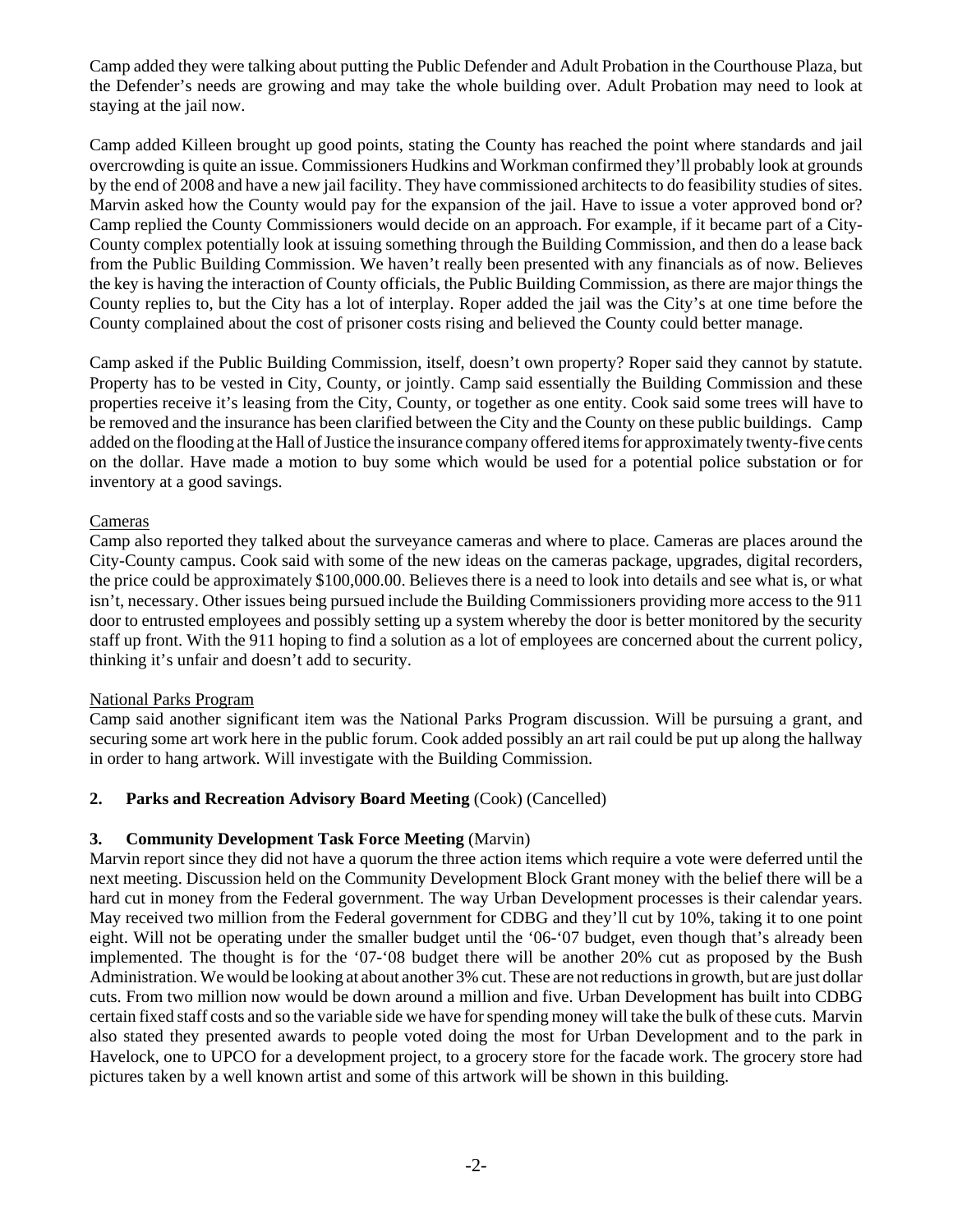Camp added they were talking about putting the Public Defender and Adult Probation in the Courthouse Plaza, but the Defender's needs are growing and may take the whole building over. Adult Probation may need to look at staying at the jail now.

Camp added Killeen brought up good points, stating the County has reached the point where standards and jail overcrowding is quite an issue. Commissioners Hudkins and Workman confirmed they'll probably look at grounds by the end of 2008 and have a new jail facility. They have commissioned architects to do feasibility studies of sites. Marvin asked how the County would pay for the expansion of the jail. Have to issue a voter approved bond or? Camp replied the County Commissioners would decide on an approach. For example, if it became part of a City-County complex potentially look at issuing something through the Building Commission, and then do a lease back from the Public Building Commission. We haven't really been presented with any financials as of now. Believes the key is having the interaction of County officials, the Public Building Commission, as there are major things the County replies to, but the City has a lot of interplay. Roper added the jail was the City's at one time before the County complained about the cost of prisoner costs rising and believed the County could better manage.

Camp asked if the Public Building Commission, itself, doesn't own property? Roper said they cannot by statute. Property has to be vested in City, County, or jointly. Camp said essentially the Building Commission and these properties receive it's leasing from the City, County, or together as one entity. Cook said some trees will have to be removed and the insurance has been clarified between the City and the County on these public buildings. Camp added on the flooding at the Hall of Justice the insurance company offered items for approximately twenty-five cents on the dollar. Have made a motion to buy some which would be used for a potential police substation or for inventory at a good savings.

### **Cameras**

Camp also reported they talked about the surveyance cameras and where to place. Cameras are places around the City-County campus. Cook said with some of the new ideas on the cameras package, upgrades, digital recorders, the price could be approximately \$100,000.00. Believes there is a need to look into details and see what is, or what isn't, necessary. Other issues being pursued include the Building Commissioners providing more access to the 911 door to entrusted employees and possibly setting up a system whereby the door is better monitored by the security staff up front. With the 911 hoping to find a solution as a lot of employees are concerned about the current policy, thinking it's unfair and doesn't add to security.

### National Parks Program

Camp said another significant item was the National Parks Program discussion. Will be pursuing a grant, and securing some art work here in the public forum. Cook added possibly an art rail could be put up along the hallway in order to hang artwork. Will investigate with the Building Commission.

### **2. Parks and Recreation Advisory Board Meeting** (Cook) (Cancelled)

### **3. Community Development Task Force Meeting** (Marvin)

Marvin report since they did not have a quorum the three action items which require a vote were deferred until the next meeting. Discussion held on the Community Development Block Grant money with the belief there will be a hard cut in money from the Federal government. The way Urban Development processes is their calendar years. May received two million from the Federal government for CDBG and they'll cut by 10%, taking it to one point eight. Will not be operating under the smaller budget until the '06-'07 budget, even though that's already been implemented. The thought is for the '07-'08 budget there will be another 20% cut as proposed by the Bush Administration. We would be looking at about another 3% cut. These are not reductions in growth, but are just dollar cuts. From two million now would be down around a million and five. Urban Development has built into CDBG certain fixed staff costs and so the variable side we have for spending money will take the bulk of these cuts. Marvin also stated they presented awards to people voted doing the most for Urban Development and to the park in Havelock, one to UPCO for a development project, to a grocery store for the facade work. The grocery store had pictures taken by a well known artist and some of this artwork will be shown in this building.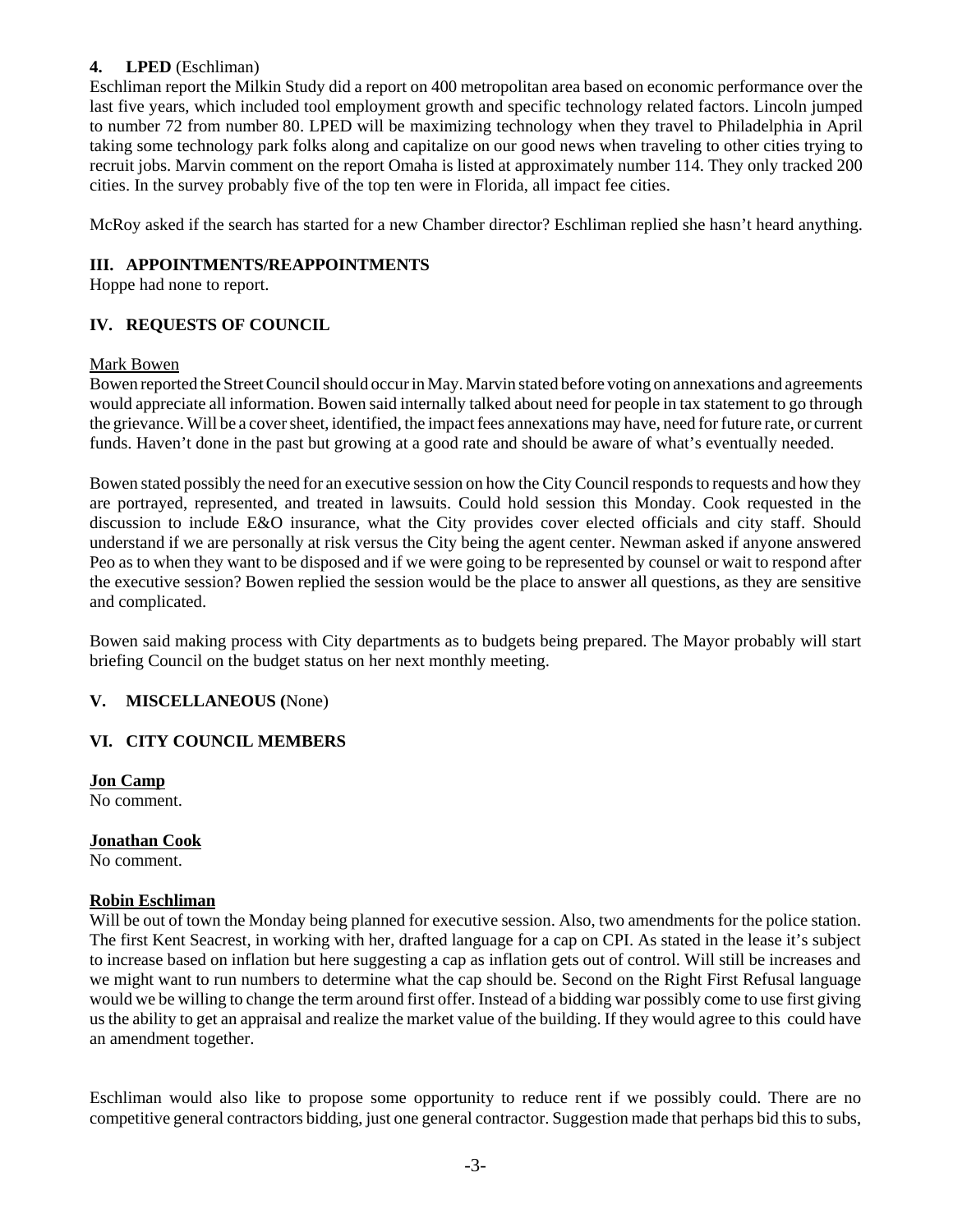### **4. LPED** (Eschliman)

Eschliman report the Milkin Study did a report on 400 metropolitan area based on economic performance over the last five years, which included tool employment growth and specific technology related factors. Lincoln jumped to number 72 from number 80. LPED will be maximizing technology when they travel to Philadelphia in April taking some technology park folks along and capitalize on our good news when traveling to other cities trying to recruit jobs. Marvin comment on the report Omaha is listed at approximately number 114. They only tracked 200 cities. In the survey probably five of the top ten were in Florida, all impact fee cities.

McRoy asked if the search has started for a new Chamber director? Eschliman replied she hasn't heard anything.

### **III. APPOINTMENTS/REAPPOINTMENTS**

Hoppe had none to report.

# **IV. REQUESTS OF COUNCIL**

### Mark Bowen

Bowen reported the Street Council should occur in May. Marvin stated before voting on annexations and agreements would appreciate all information. Bowen said internally talked about need for people in tax statement to go through the grievance. Will be a cover sheet, identified, the impact fees annexations may have, need for future rate, or current funds. Haven't done in the past but growing at a good rate and should be aware of what's eventually needed.

Bowen stated possibly the need for an executive session on how the City Council responds to requests and how they are portrayed, represented, and treated in lawsuits. Could hold session this Monday. Cook requested in the discussion to include E&O insurance, what the City provides cover elected officials and city staff. Should understand if we are personally at risk versus the City being the agent center. Newman asked if anyone answered Peo as to when they want to be disposed and if we were going to be represented by counsel or wait to respond after the executive session? Bowen replied the session would be the place to answer all questions, as they are sensitive and complicated.

Bowen said making process with City departments as to budgets being prepared. The Mayor probably will start briefing Council on the budget status on her next monthly meeting.

### **V. MISCELLANEOUS (**None)

# **VI. CITY COUNCIL MEMBERS**

**Jon Camp** No comment.

**Jonathan Cook** No comment.

### **Robin Eschliman**

Will be out of town the Monday being planned for executive session. Also, two amendments for the police station. The first Kent Seacrest, in working with her, drafted language for a cap on CPI. As stated in the lease it's subject to increase based on inflation but here suggesting a cap as inflation gets out of control. Will still be increases and we might want to run numbers to determine what the cap should be. Second on the Right First Refusal language would we be willing to change the term around first offer. Instead of a bidding war possibly come to use first giving us the ability to get an appraisal and realize the market value of the building. If they would agree to this could have an amendment together.

Eschliman would also like to propose some opportunity to reduce rent if we possibly could. There are no competitive general contractors bidding, just one general contractor. Suggestion made that perhaps bid this to subs,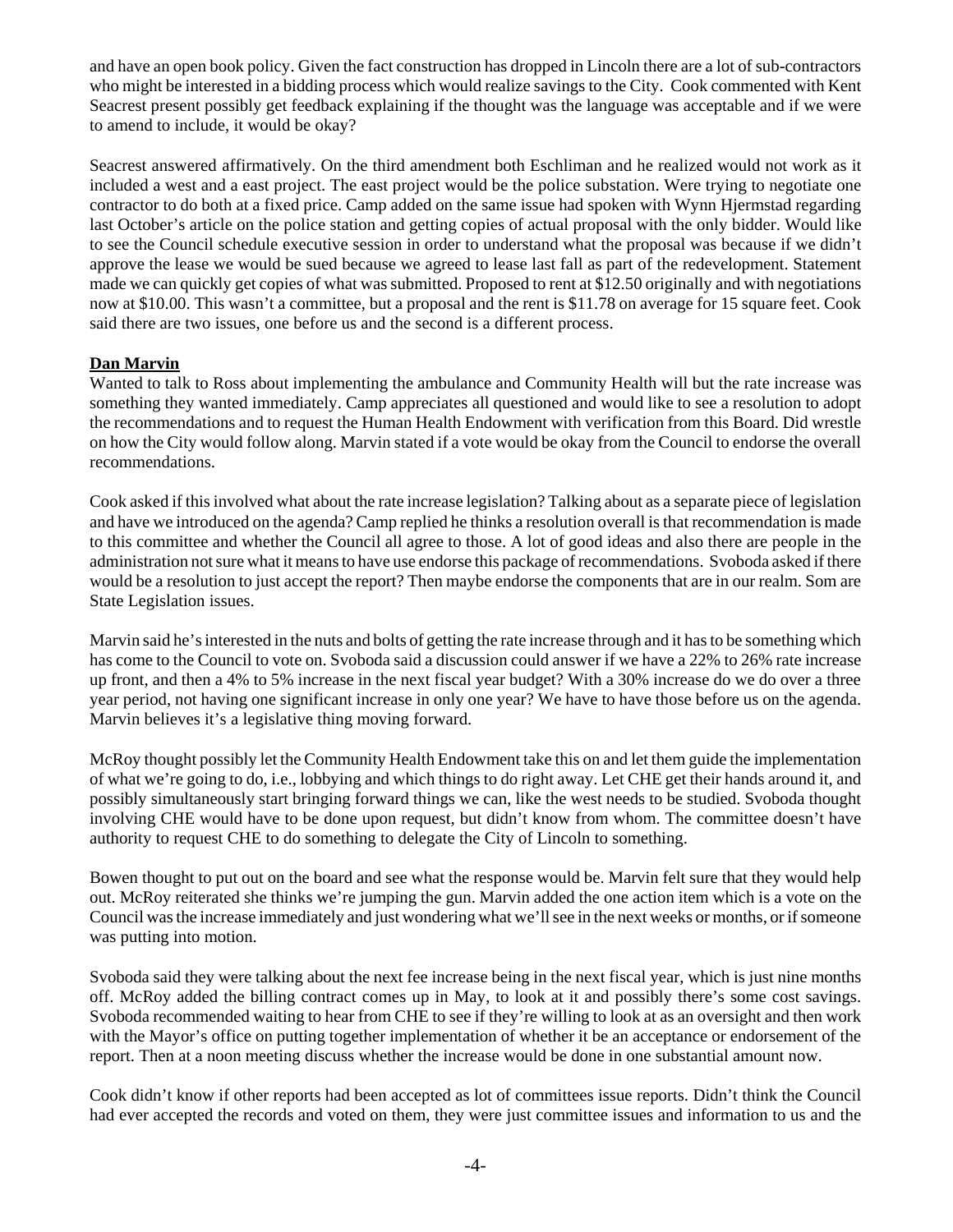and have an open book policy. Given the fact construction has dropped in Lincoln there are a lot of sub-contractors who might be interested in a bidding process which would realize savings to the City. Cook commented with Kent Seacrest present possibly get feedback explaining if the thought was the language was acceptable and if we were to amend to include, it would be okay?

Seacrest answered affirmatively. On the third amendment both Eschliman and he realized would not work as it included a west and a east project. The east project would be the police substation. Were trying to negotiate one contractor to do both at a fixed price. Camp added on the same issue had spoken with Wynn Hjermstad regarding last October's article on the police station and getting copies of actual proposal with the only bidder. Would like to see the Council schedule executive session in order to understand what the proposal was because if we didn't approve the lease we would be sued because we agreed to lease last fall as part of the redevelopment. Statement made we can quickly get copies of what was submitted. Proposed to rent at \$12.50 originally and with negotiations now at \$10.00. This wasn't a committee, but a proposal and the rent is \$11.78 on average for 15 square feet. Cook said there are two issues, one before us and the second is a different process.

### **Dan Marvin**

Wanted to talk to Ross about implementing the ambulance and Community Health will but the rate increase was something they wanted immediately. Camp appreciates all questioned and would like to see a resolution to adopt the recommendations and to request the Human Health Endowment with verification from this Board. Did wrestle on how the City would follow along. Marvin stated if a vote would be okay from the Council to endorse the overall recommendations.

Cook asked if this involved what about the rate increase legislation? Talking about as a separate piece of legislation and have we introduced on the agenda? Camp replied he thinks a resolution overall is that recommendation is made to this committee and whether the Council all agree to those. A lot of good ideas and also there are people in the administration not sure what it means to have use endorse this package of recommendations. Svoboda asked if there would be a resolution to just accept the report? Then maybe endorse the components that are in our realm. Som are State Legislation issues.

Marvin said he's interested in the nuts and bolts of getting the rate increase through and it has to be something which has come to the Council to vote on. Svoboda said a discussion could answer if we have a 22% to 26% rate increase up front, and then a 4% to 5% increase in the next fiscal year budget? With a 30% increase do we do over a three year period, not having one significant increase in only one year? We have to have those before us on the agenda. Marvin believes it's a legislative thing moving forward.

McRoy thought possibly let the Community Health Endowment take this on and let them guide the implementation of what we're going to do, i.e., lobbying and which things to do right away. Let CHE get their hands around it, and possibly simultaneously start bringing forward things we can, like the west needs to be studied. Svoboda thought involving CHE would have to be done upon request, but didn't know from whom. The committee doesn't have authority to request CHE to do something to delegate the City of Lincoln to something.

Bowen thought to put out on the board and see what the response would be. Marvin felt sure that they would help out. McRoy reiterated she thinks we're jumping the gun. Marvin added the one action item which is a vote on the Council was the increase immediately and just wondering what we'll see in the next weeks or months, or if someone was putting into motion.

Svoboda said they were talking about the next fee increase being in the next fiscal year, which is just nine months off. McRoy added the billing contract comes up in May, to look at it and possibly there's some cost savings. Svoboda recommended waiting to hear from CHE to see if they're willing to look at as an oversight and then work with the Mayor's office on putting together implementation of whether it be an acceptance or endorsement of the report. Then at a noon meeting discuss whether the increase would be done in one substantial amount now.

Cook didn't know if other reports had been accepted as lot of committees issue reports. Didn't think the Council had ever accepted the records and voted on them, they were just committee issues and information to us and the